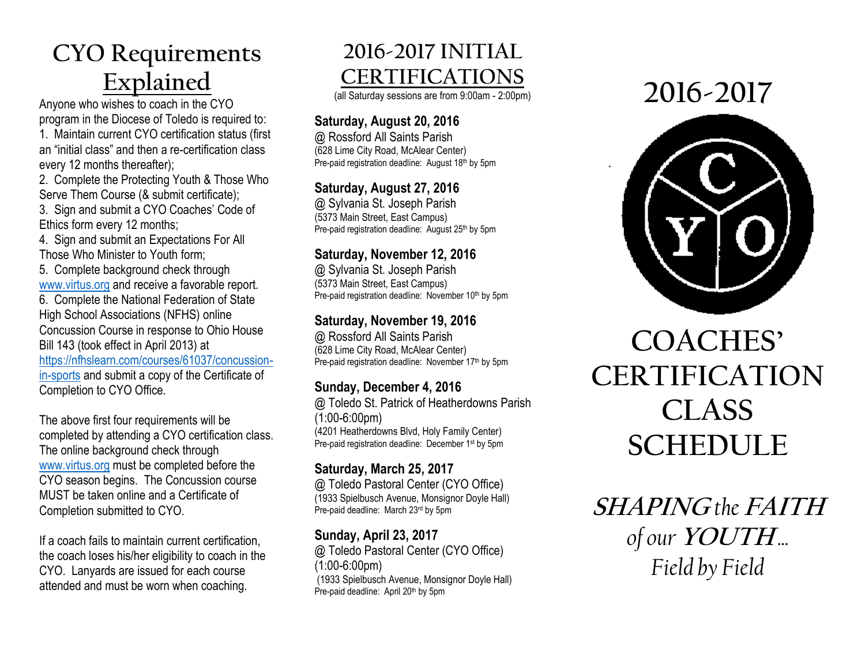# **CYO Requirements Explained**

Anyone who wishes to coach in the CYO program in the Diocese of Toledo is required to:

1. Maintain current CYO certification status (first an "initial class" and then a re-certification class every 12 months thereafter);

2. Complete the Protecting Youth & Those Who Serve Them Course (& submit certificate);

3. Sign and submit a CYO Coaches' Code of Ethics form every 12 months;

4. Sign and submit an Expectations For All Those Who Minister to Youth form;

5. Complete background check through [www.virtus.org](http://www.virtus.org/) and receive a favorable report. 6. Complete the National Federation of State High School Associations (NFHS) online Concussion Course in response to Ohio House Bill 143 (took effect in April 2013) at

[https://nfhslearn.com/courses/61037/concussion](https://nfhslearn.com/courses/61037/concussion-in-sports)[in-sports](https://nfhslearn.com/courses/61037/concussion-in-sports) and submit a copy of the Certificate of Completion to CYO Office.

The above first four requirements will be completed by attending a CYO certification class. The online background check through [www.virtus.org](http://www.virtus.org/) must be completed before the CYO season begins. The Concussion course MUST be taken online and a Certificate of Completion submitted to CYO.

If a coach fails to maintain current certification, the coach loses his/her eligibility to coach in the CYO. Lanyards are issued for each course attended and must be worn when coaching.

# **2016-2017 INITIAL CERTIFICATIONS**

(all Saturday sessions are from 9:00am - 2:00pm)

# **Saturday, August 20, 2016**

@ Rossford All Saints Parish (628 Lime City Road, McAlear Center) Pre-paid registration deadline: August 18th by 5pm

# **Saturday, August 27, 2016**

@ Sylvania St. Joseph Parish (5373 Main Street, East Campus) Pre-paid registration deadline: August 25th by 5pm

#### **Saturday, November 12, 2016**

@ Sylvania St. Joseph Parish (5373 Main Street, East Campus) Pre-paid registration deadline: November 10<sup>th</sup> by 5pm

### **Saturday, November 19, 2016**

@ Rossford All Saints Parish (628 Lime City Road, McAlear Center) Pre-paid registration deadline: November 17<sup>th</sup> by 5pm

# **Sunday, December 4, 2016**

@ Toledo St. Patrick of Heatherdowns Parish (1:00-6:00pm) (4201 Heatherdowns Blvd, Holy Family Center) Pre-paid registration deadline: December 1<sup>st</sup> by 5pm

# **Saturday, March 25, 2017**

@ Toledo Pastoral Center (CYO Office) (1933 Spielbusch Avenue, Monsignor Doyle Hall) Pre-paid deadline: March 23rd by 5pm

# **Sunday, April 23, 2017**

@ Toledo Pastoral Center (CYO Office) (1:00-6:00pm) (1933 Spielbusch Avenue, Monsignor Doyle Hall) Pre-paid deadline: April 20<sup>th</sup> by 5pm

# **2016-2017**



# **COACHES' CERTIFICATION CLASS SCHEDULE**

**SHAPING** *the* **FAITH** *of our* **YOUTH** *... Field by Field*